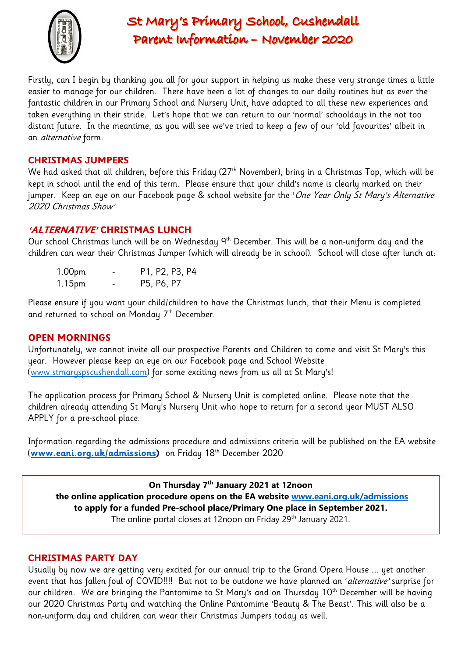

# St Mary's Primary School, Cushendall Parent Information - November 2020

Firstly, can I begin by thanking you all for your support in helping us make these very strange times a little easier to manage for our children. There have been a lot of changes to our daily routines but as ever the fantastic children in our Primary School and Nursery Unit, have adapted to all these new experiences and taken everything in their stride. Let's hope that we can return to our 'normal' schooldays in the not too distant future. In the meantime, as you will see we've tried to keep a few of our 'old favourites' albeit in an alternative form.

## **CHRISTMAS JUMPERS**

We had asked that all children, before this Friday (27<sup>th</sup> November), bring in a Christmas Top, which will be kept in school until the end of this term. Please ensure that your child's name is clearly marked on their jumper. Keep an eye on our Facebook page & school website for the 'One Year Only St Mary's Alternative 2020 Christmas Show'

## **'ALTERNATIVE' CHRISTMAS LUNCH**

Our school Christmas lunch will be on Wednesday 9<sup>th</sup> December. This will be a non-uniform day and the children can wear their Christmas Jumper (which will already be in school). School will close after lunch at:

1.00pm - P1, P2, P3, P4 1.15pm - P5, P6, P7

Please ensure if you want your child/children to have the Christmas lunch, that their Menu is completed and returned to school on Monday 7<sup>th</sup> December.

### **OPEN MORNINGS**

Unfortunately, we cannot invite all our prospective Parents and Children to come and visit St Mary's this year. However please keep an eye on our Facebook page and School Website [\(www.stmaryspscushendall.com\)](http://www.stmaryspscushendall.com/) for some exciting news from us all at St Mary's!

The application process for Primary School & Nursery Unit is completed online. Please note that the children already attending St Mary's Nursery Unit who hope to return for a second year MUST ALSO APPLY for a pre-school place.

Information regarding the admissions procedure and admissions criteria will be published on the EA website (**[www.eani.org.uk/admissions\)](http://www.eani.org.uk/admissions)** on Friday 18th December 2020

**On Thursday 7th January 2021 at 12noon**

**the online application procedure opens on the EA website [www.eani.org.uk/admissions](http://www.eani.org.uk/admissions) to apply for a funded Pre-school place/Primary One place in September 2021.** 

The online portal closes at 12noon on Friday 29<sup>th</sup> January 2021.

## **CHRISTMAS PARTY DAY**

Usually by now we are getting very excited for our annual trip to the Grand Opera House …. yet another event that has fallen foul of COVID!!!! But not to be outdone we have planned an 'alternative' surprise for our children. We are bringing the Pantomime to St Mary's and on Thursday 10<sup>th</sup> December will be having our 2020 Christmas Party and watching the Online Pantomime 'Beauty & The Beast'. This will also be a non-uniform day and children can wear their Christmas Jumpers today as well.